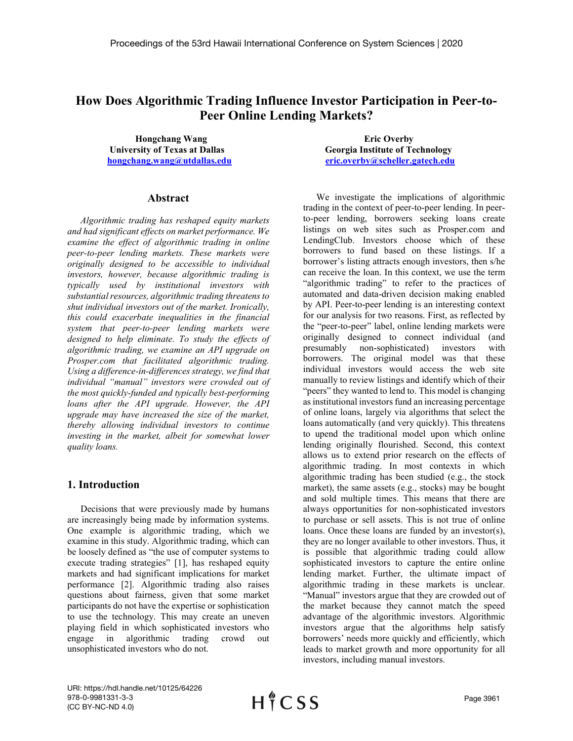# **How Does Algorithmic Trading Influence Investor Participation in Peer-to-Peer Online Lending Markets?**

 **Hongchang Wang Eric Overby**

### **Abstract**

*Algorithmic trading has reshaped equity markets and had significant effects on market performance. We examine the effect of algorithmic trading in online peer-to-peer lending markets. These markets were originally designed to be accessible to individual investors, however, because algorithmic trading is typically used by institutional investors with substantial resources, algorithmic trading threatensto shut individual investors out of the market. Ironically, this could exacerbate inequalities in the financial system that peer-to-peer lending markets were designed to help eliminate. To study the effects of algorithmic trading, we examine an API upgrade on Prosper.com that facilitated algorithmic trading. Using a difference-in-differences strategy, we find that individual "manual" investors were crowded out of the most quickly-funded and typically best-performing loans after the API upgrade. However, the API upgrade may have increased the size of the market, thereby allowing individual investors to continue investing in the market, albeit for somewhat lower quality loans.* 

# **1. Introduction**

Decisions that were previously made by humans are increasingly being made by information systems. One example is algorithmic trading, which we examine in this study. Algorithmic trading, which can be loosely defined as "the use of computer systems to execute trading strategies" [1], has reshaped equity markets and had significant implications for market performance [2]. Algorithmic trading also raises questions about fairness, given that some market participants do not have the expertise or sophistication to use the technology. This may create an uneven playing field in which sophisticated investors who engage in algorithmic trading crowd out unsophisticated investors who do not.

**University of Texas at Dallas Georgia Institute of Technology [hongchang.wang@utdallas.edu](mailto:hongchang.wang@utdallas.edu) [eric.overby@scheller.gatech.edu](mailto:eric.overby@scheller.gatech.edu)**

> We investigate the implications of algorithmic trading in the context of peer-to-peer lending. In peerto-peer lending, borrowers seeking loans create listings on web sites such as Prosper.com and LendingClub. Investors choose which of these borrowers to fund based on these listings. If a borrower's listing attracts enough investors, then s/he can receive the loan. In this context, we use the term "algorithmic trading" to refer to the practices of automated and data-driven decision making enabled by API. Peer-to-peer lending is an interesting context for our analysis for two reasons. First, as reflected by the "peer-to-peer" label, online lending markets were originally designed to connect individual (and presumably non-sophisticated) investors with borrowers. The original model was that these individual investors would access the web site manually to review listings and identify which of their "peers" they wanted to lend to. This model is changing as institutional investors fund an increasing percentage of online loans, largely via algorithms that select the loans automatically (and very quickly). This threatens to upend the traditional model upon which online lending originally flourished. Second, this context allows us to extend prior research on the effects of algorithmic trading. In most contexts in which algorithmic trading has been studied (e.g., the stock market), the same assets (e.g., stocks) may be bought and sold multiple times. This means that there are always opportunities for non-sophisticated investors to purchase or sell assets. This is not true of online loans. Once these loans are funded by an investor(s), they are no longer available to other investors. Thus, it is possible that algorithmic trading could allow sophisticated investors to capture the entire online lending market. Further, the ultimate impact of algorithmic trading in these markets is unclear. "Manual" investors argue that they are crowded out of the market because they cannot match the speed advantage of the algorithmic investors. Algorithmic investors argue that the algorithms help satisfy borrowers' needs more quickly and efficiently, which leads to market growth and more opportunity for all investors, including manual investors.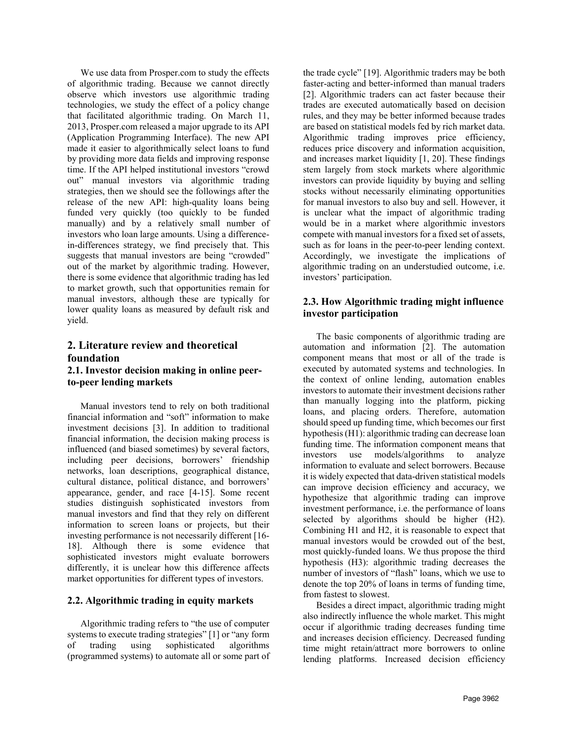We use data from Prosper.com to study the effects of algorithmic trading. Because we cannot directly observe which investors use algorithmic trading technologies, we study the effect of a policy change that facilitated algorithmic trading. On March 11, 2013, Prosper.com released a major upgrade to its API (Application Programming Interface). The new API made it easier to algorithmically select loans to fund by providing more data fields and improving response time. If the API helped institutional investors "crowd out" manual investors via algorithmic trading strategies, then we should see the followings after the release of the new API: high-quality loans being funded very quickly (too quickly to be funded manually) and by a relatively small number of investors who loan large amounts. Using a differencein-differences strategy, we find precisely that. This suggests that manual investors are being "crowded" out of the market by algorithmic trading. However, there is some evidence that algorithmic trading has led to market growth, such that opportunities remain for manual investors, although these are typically for lower quality loans as measured by default risk and yield.

# **2. Literature review and theoretical foundation**

## **2.1. Investor decision making in online peerto-peer lending markets**

Manual investors tend to rely on both traditional financial information and "soft" information to make investment decisions [3]. In addition to traditional financial information, the decision making process is influenced (and biased sometimes) by several factors, including peer decisions, borrowers' friendship networks, loan descriptions, geographical distance, cultural distance, political distance, and borrowers' appearance, gender, and race [4-15]. Some recent studies distinguish sophisticated investors from manual investors and find that they rely on different information to screen loans or projects, but their investing performance is not necessarily different [16- 18]. Although there is some evidence that sophisticated investors might evaluate borrowers differently, it is unclear how this difference affects market opportunities for different types of investors.

### **2.2. Algorithmic trading in equity markets**

Algorithmic trading refers to "the use of computer systems to execute trading strategies" [1] or "any form of trading using sophisticated algorithms (programmed systems) to automate all or some part of

the trade cycle" [19]. Algorithmic traders may be both faster-acting and better-informed than manual traders [2]. Algorithmic traders can act faster because their trades are executed automatically based on decision rules, and they may be better informed because trades are based on statistical models fed by rich market data. Algorithmic trading improves price efficiency, reduces price discovery and information acquisition, and increases market liquidity [1, 20]. These findings stem largely from stock markets where algorithmic investors can provide liquidity by buying and selling stocks without necessarily eliminating opportunities for manual investors to also buy and sell. However, it is unclear what the impact of algorithmic trading would be in a market where algorithmic investors compete with manual investors for a fixed set of assets, such as for loans in the peer-to-peer lending context. Accordingly, we investigate the implications of algorithmic trading on an understudied outcome, i.e. investors' participation.

# **2.3. How Algorithmic trading might influence investor participation**

The basic components of algorithmic trading are automation and information [2]. The automation component means that most or all of the trade is executed by automated systems and technologies. In the context of online lending, automation enables investors to automate their investment decisions rather than manually logging into the platform, picking loans, and placing orders. Therefore, automation should speed up funding time, which becomes our first hypothesis(H1): algorithmic trading can decrease loan funding time. The information component means that investors use models/algorithms to analyze information to evaluate and select borrowers. Because it is widely expected that data-driven statistical models can improve decision efficiency and accuracy, we hypothesize that algorithmic trading can improve investment performance, i.e. the performance of loans selected by algorithms should be higher (H2). Combining H1 and H2, it is reasonable to expect that manual investors would be crowded out of the best, most quickly-funded loans. We thus propose the third hypothesis (H3): algorithmic trading decreases the number of investors of "flash" loans, which we use to denote the top 20% of loans in terms of funding time, from fastest to slowest.

Besides a direct impact, algorithmic trading might also indirectly influence the whole market. This might occur if algorithmic trading decreases funding time and increases decision efficiency. Decreased funding time might retain/attract more borrowers to online lending platforms. Increased decision efficiency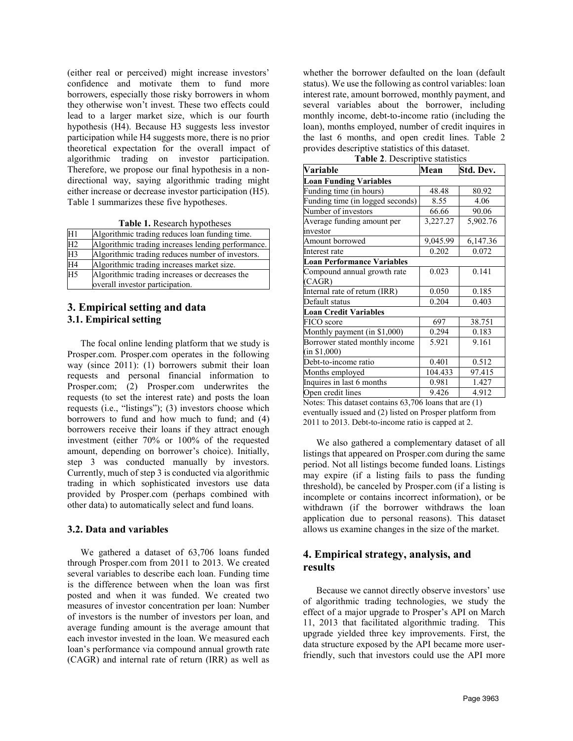(either real or perceived) might increase investors' confidence and motivate them to fund more borrowers, especially those risky borrowers in whom they otherwise won't invest. These two effects could lead to a larger market size, which is our fourth hypothesis (H4). Because H3 suggests less investor participation while H4 suggests more, there is no prior theoretical expectation for the overall impact of algorithmic trading on investor participation. Therefore, we propose our final hypothesis in a nondirectional way, saying algorithmic trading might either increase or decrease investor participation (H5). Table 1 summarizes these five hypotheses.

**Table 1.** Research hypotheses

| H1              | Algorithmic trading reduces loan funding time.                                    |
|-----------------|-----------------------------------------------------------------------------------|
| $\overline{H2}$ | Algorithmic trading increases lending performance.                                |
| H3              | Algorithmic trading reduces number of investors.                                  |
| $\overline{H4}$ | Algorithmic trading increases market size.                                        |
| $\overline{H5}$ | Algorithmic trading increases or decreases the<br>overall investor participation. |

# **3. Empirical setting and data 3.1. Empirical setting**

The focal online lending platform that we study is Prosper.com. Prosper.com operates in the following way (since 2011): (1) borrowers submit their loan requests and personal financial information to Prosper.com; (2) Prosper.com underwrites the requests (to set the interest rate) and posts the loan requests (i.e., "listings"); (3) investors choose which borrowers to fund and how much to fund; and (4) borrowers receive their loans if they attract enough investment (either 70% or 100% of the requested amount, depending on borrower's choice). Initially, step 3 was conducted manually by investors. Currently, much of step 3 is conducted via algorithmic trading in which sophisticated investors use data provided by Prosper.com (perhaps combined with other data) to automatically select and fund loans.

### **3.2. Data and variables**

We gathered a dataset of 63,706 loans funded through Prosper.com from 2011 to 2013. We created several variables to describe each loan. Funding time is the difference between when the loan was first posted and when it was funded. We created two measures of investor concentration per loan: Number of investors is the number of investors per loan, and average funding amount is the average amount that each investor invested in the loan. We measured each loan's performance via compound annual growth rate (CAGR) and internal rate of return (IRR) as well as

whether the borrower defaulted on the loan (default status). We use the following as control variables: loan interest rate, amount borrowed, monthly payment, and several variables about the borrower, including monthly income, debt-to-income ratio (including the loan), months employed, number of credit inquires in the last 6 months, and open credit lines. Table 2 provides descriptive statistics of this dataset.

| Variable                                                | Mean     | Std. Dev. |  |  |  |
|---------------------------------------------------------|----------|-----------|--|--|--|
| <b>Loan Funding Variables</b>                           |          |           |  |  |  |
| Funding time (in hours)                                 | 48.48    | 80.92     |  |  |  |
| Funding time (in logged seconds)                        | 8.55     | 4.06      |  |  |  |
| Number of investors                                     | 66.66    | 90.06     |  |  |  |
| Average funding amount per                              | 3,227.27 | 5,902.76  |  |  |  |
| investor                                                |          |           |  |  |  |
| Amount borrowed                                         | 9,045.99 | 6,147.36  |  |  |  |
| Interest rate                                           | 0.202    | 0.072     |  |  |  |
| Loan Performance Variables                              |          |           |  |  |  |
| Compound annual growth rate                             | 0.023    | 0.141     |  |  |  |
| (CAGR)                                                  |          |           |  |  |  |
| Internal rate of return (IRR)                           | 0.050    | 0.185     |  |  |  |
| Default status                                          | 0.204    | 0.403     |  |  |  |
| <b>Loan Credit Variables</b>                            |          |           |  |  |  |
| FICO score                                              | 697      | 38.751    |  |  |  |
| Monthly payment (in \$1,000)                            | 0.294    | 0.183     |  |  |  |
| Borrower stated monthly income                          | 5.921    | 9.161     |  |  |  |
| (in \$1,000)                                            |          |           |  |  |  |
| Debt-to-income ratio                                    | 0.401    | 0.512     |  |  |  |
| Months employed                                         | 104.433  | 97.415    |  |  |  |
| Inquires in last 6 months                               | 0.981    | 1.427     |  |  |  |
| Open credit lines<br>$\sim$ $\sim$ $\sim$ $\sim$ $\sim$ | 9.426    | 4.912     |  |  |  |

**Table 2**. Descriptive statistics

Notes: This dataset contains 63,706 loans that are (1) eventually issued and (2) listed on Prosper platform from 2011 to 2013. Debt-to-income ratio is capped at 2.

We also gathered a complementary dataset of all listings that appeared on Prosper.com during the same period. Not all listings become funded loans. Listings may expire (if a listing fails to pass the funding threshold), be canceled by Prosper.com (if a listing is incomplete or contains incorrect information), or be withdrawn (if the borrower withdraws the loan application due to personal reasons). This dataset allows us examine changes in the size of the market.

# **4. Empirical strategy, analysis, and results**

Because we cannot directly observe investors' use of algorithmic trading technologies, we study the effect of a major upgrade to Prosper's API on March 11, 2013 that facilitated algorithmic trading. This upgrade yielded three key improvements. First, the data structure exposed by the API became more userfriendly, such that investors could use the API more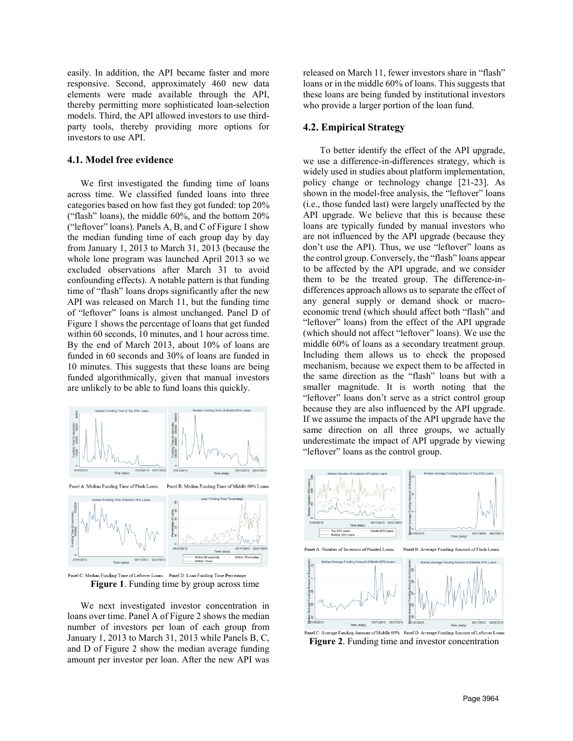easily. In addition, the API became faster and more responsive. Second, approximately 460 new data elements were made available through the API, thereby permitting more sophisticated loan-selection models. Third, the API allowed investors to use thirdparty tools, thereby providing more options for investors to use API.

### **4.1. Model free evidence**

We first investigated the funding time of loans across time. We classified funded loans into three categories based on how fast they got funded: top 20% ("flash" loans), the middle 60%, and the bottom 20% ("leftover" loans). Panels A, B, and C of Figure 1 show the median funding time of each group day by day from January 1, 2013 to March 31, 2013 (because the whole lone program was launched April 2013 so we excluded observations after March 31 to avoid confounding effects). A notable pattern is that funding time of "flash" loans drops significantly after the new API was released on March 11, but the funding time of "leftover" loans is almost unchanged. Panel D of Figure 1 shows the percentage of loans that get funded within 60 seconds, 10 minutes, and 1 hour across time. By the end of March 2013, about 10% of loans are funded in 60 seconds and 30% of loans are funded in 10 minutes. This suggests that these loans are being funded algorithmically, given that manual investors are unlikely to be able to fund loans this quickly.



Panel C: Median Funding Time of Leftover Loans Panel D: Loan Funding Time Percentage **Figure 1**. Funding time by group across time

We next investigated investor concentration in loans over time. Panel A of Figure 2 shows the median number of investors per loan of each group from January 1, 2013 to March 31, 2013 while Panels B, C, and D of Figure 2 show the median average funding amount per investor per loan. After the new API was released on March 11, fewer investors share in "flash" loans or in the middle 60% of loans. This suggests that these loans are being funded by institutional investors who provide a larger portion of the loan fund.

### **4.2. Empirical Strategy**

To better identify the effect of the API upgrade, we use a difference-in-differences strategy, which is widely used in studies about platform implementation, policy change or technology change [21-23]. As shown in the model-free analysis, the "leftover" loans (i.e., those funded last) were largely unaffected by the API upgrade. We believe that this is because these loans are typically funded by manual investors who are not influenced by the API upgrade (because they don't use the API). Thus, we use "leftover" loans as the control group. Conversely, the "flash" loans appear to be affected by the API upgrade, and we consider them to be the treated group. The difference-indifferences approach allows us to separate the effect of any general supply or demand shock or macroeconomic trend (which should affect both "flash" and "leftover" loans) from the effect of the API upgrade (which should not affect "leftover" loans). We use the middle 60% of loans as a secondary treatment group. Including them allows us to check the proposed mechanism, because we expect them to be affected in the same direction as the "flash" loans but with a smaller magnitude. It is worth noting that the "leftover" loans don't serve as a strict control group because they are also influenced by the API upgrade. If we assume the impacts of the API upgrade have the same direction on all three groups, we actually underestimate the impact of API upgrade by viewing "leftover" loans as the control group.



**Figure 2**. Funding time and investor concentration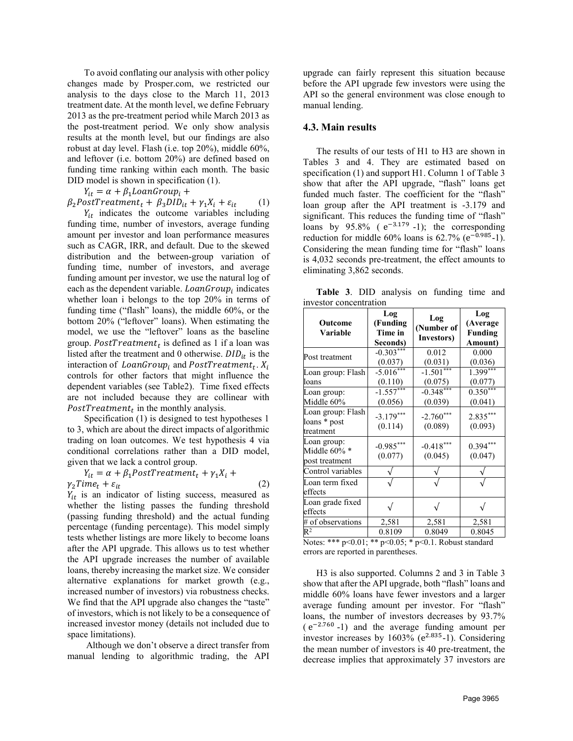To avoid conflating our analysis with other policy changes made by Prosper.com, we restricted our analysis to the days close to the March 11, 2013 treatment date. At the month level, we define February 2013 as the pre-treatment period while March 2013 as the post-treatment period. We only show analysis results at the month level, but our findings are also robust at day level. Flash (i.e. top 20%), middle 60%, and leftover (i.e. bottom 20%) are defined based on funding time ranking within each month. The basic DID model is shown in specification (1).

 $Y_{it} = \alpha + \beta_1 LoanGroup_i +$ 

 $\beta_2 PostTreatment_t + \beta_3 DID_{it} + \gamma_1 X_i + \varepsilon_{it} \qquad (1)$ 

 $Y_{it}$  indicates the outcome variables including funding time, number of investors, average funding amount per investor and loan performance measures such as CAGR, IRR, and default. Due to the skewed distribution and the between-group variation of funding time, number of investors, and average funding amount per investor, we use the natural log of each as the dependent variable.  $LoanGroup_i$  indicates whether loan i belongs to the top 20% in terms of funding time ("flash" loans), the middle 60%, or the bottom 20% ("leftover" loans). When estimating the model, we use the "leftover" loans as the baseline group. PostTreatment<sub>t</sub> is defined as 1 if a loan was listed after the treatment and 0 otherwise.  $DID_{it}$  is the interaction of  $LoanGroup_i$  and  $PostTreatment_t$ .  $X_i$ controls for other factors that might influence the dependent variables (see Table2). Time fixed effects are not included because they are collinear with PostTreatment<sub>t</sub> in the monthly analysis.

Specification (1) is designed to test hypotheses 1 to 3, which are about the direct impacts of algorithmic trading on loan outcomes. We test hypothesis 4 via conditional correlations rather than a DID model, given that we lack a control group.

 $Y_{it} = \alpha + \beta_1 PostTreatment_t + \gamma_1 X_i +$  $\gamma_2 Time_t + \varepsilon_{it}$  (2)

 $Y_{it}$  is an indicator of listing success, measured as whether the listing passes the funding threshold (passing funding threshold) and the actual funding percentage (funding percentage). This model simply tests whether listings are more likely to become loans after the API upgrade. This allows us to test whether the API upgrade increases the number of available loans, thereby increasing the market size. We consider alternative explanations for market growth (e.g., increased number of investors) via robustness checks. We find that the API upgrade also changes the "taste" of investors, which is not likely to be a consequence of increased investor money (details not included due to space limitations).

 Although we don't observe a direct transfer from manual lending to algorithmic trading, the API

upgrade can fairly represent this situation because before the API upgrade few investors were using the API so the general environment was close enough to manual lending.

### **4.3. Main results**

The results of our tests of H1 to H3 are shown in Tables 3 and 4. They are estimated based on specification (1) and support H1. Column 1 of Table 3 show that after the API upgrade, "flash" loans get funded much faster. The coefficient for the "flash" loan group after the API treatment is -3.179 and significant. This reduces the funding time of "flash" loans by 95.8% ( $e^{-3.179}$ -1); the corresponding reduction for middle 60% loans is  $62.7\%$  (e<sup>-0.985</sup>-1). Considering the mean funding time for "flash" loans is 4,032 seconds pre-treatment, the effect amounts to eliminating 3,862 seconds.

**Table 3**. DID analysis on funding time and investor concentration

| Outcome<br>Variable                            | Log<br>(Funding<br>Time in<br>Seconds) | Log<br>(Number of<br>Investors) | Log<br>(Average<br><b>Funding</b><br>Amount) |  |
|------------------------------------------------|----------------------------------------|---------------------------------|----------------------------------------------|--|
| Post treatment                                 | $-0.303***$<br>(0.037)                 | 0.012<br>(0.031)                | 0.000<br>(0.036)                             |  |
| Loan group: Flash<br>loans                     | $-5.016***$<br>(0.110)                 | $-1.501***$<br>(0.075)          | $1.399***$<br>(0.077)                        |  |
| Loan group:<br>Middle 60%                      | $-1.557***$<br>(0.056)                 | $-0.348***$<br>(0.039)          | $0.350***$<br>(0.041)                        |  |
| Loan group: Flash<br>loans * post<br>treatment | $-3.179***$<br>(0.114)                 | $-2.760***$<br>(0.089)          | 2.835***<br>(0.093)                          |  |
| Loan group:<br>Middle 60% *<br>post treatment  | $-0.985***$<br>(0.077)                 | $-0.418***$<br>(0.045)          | $0.394***$<br>(0.047)                        |  |
| Control variables                              |                                        |                                 |                                              |  |
| Loan term fixed<br>effects                     |                                        |                                 |                                              |  |
| Loan grade fixed<br>effects                    | $\sqrt{}$                              |                                 |                                              |  |
| # of observations                              | 2,581                                  | 2,581                           | 2,581                                        |  |
| $\mathsf{R}^2$                                 | 0.8109                                 | 0.8049                          | 0.8045                                       |  |

Notes: \*\*\* p<0.01; \*\* p<0.05; \* p<0.1. Robust standard errors are reported in parentheses.

H3 is also supported. Columns 2 and 3 in Table 3 show that after the API upgrade, both "flash" loans and middle 60% loans have fewer investors and a larger average funding amount per investor. For "flash" loans, the number of investors decreases by 93.7%  $(e^{-2.760} - 1)$  and the average funding amount per investor increases by  $1603%$  ( $e^{2.835}$ -1). Considering the mean number of investors is 40 pre-treatment, the decrease implies that approximately 37 investors are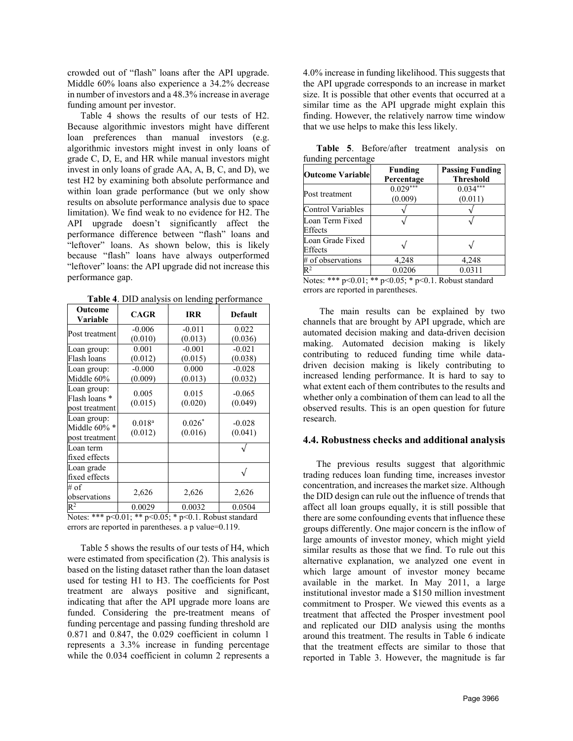crowded out of "flash" loans after the API upgrade. Middle 60% loans also experience a 34.2% decrease in number of investors and a 48.3% increase in average funding amount per investor.

Table 4 shows the results of our tests of H2. Because algorithmic investors might have different loan preferences than manual investors (e.g. algorithmic investors might invest in only loans of grade C, D, E, and HR while manual investors might invest in only loans of grade AA, A, B, C, and D), we test H2 by examining both absolute performance and within loan grade performance (but we only show results on absolute performance analysis due to space limitation). We find weak to no evidence for H2. The API upgrade doesn't significantly affect the performance difference between "flash" loans and "leftover" loans. As shown below, this is likely because "flash" loans have always outperformed "leftover" loans: the API upgrade did not increase this performance gap.

**Table 4**. DID analysis on lending performance

| Outcome<br>Variable                            | <b>CAGR</b>            | <b>IRR</b>          | <b>Default</b>      |
|------------------------------------------------|------------------------|---------------------|---------------------|
| Post treatment                                 | $-0.006$<br>(0.010)    | $-0.011$<br>(0.013) | 0.022<br>(0.036)    |
| Loan group:<br>Flash loans                     | 0.001<br>(0.012)       | $-0.001$<br>(0.015) | $-0.021$<br>(0.038) |
| Loan group:<br>Middle 60%                      | $-0.000$<br>(0.009)    | 0.000<br>(0.013)    | $-0.028$<br>(0.032) |
| Loan group:<br>Flash loans *<br>post treatment | 0.005<br>(0.015)       | 0.015<br>(0.020)    | $-0.065$<br>(0.049) |
| Loan group:<br>Middle 60% *<br>post treatment  | $0.018^{a}$<br>(0.012) | $0.026*$<br>(0.016) | $-0.028$<br>(0.041) |
| Loan term<br>fixed effects                     |                        |                     |                     |
| Loan grade<br>fixed effects                    |                        |                     |                     |
| # of<br>observations                           | 2,626                  | 2,626               | 2,626               |
| $R^2$                                          | 0.0029                 | 0.0032              | 0.0504              |

Notes: \*\*\* p<0.01; \*\* p<0.05; \* p<0.1. Robust standard errors are reported in parentheses. a p value=0.119.

Table 5 shows the results of our tests of H4, which were estimated from specification (2). This analysis is based on the listing dataset rather than the loan dataset used for testing H1 to H3. The coefficients for Post treatment are always positive and significant, indicating that after the API upgrade more loans are funded. Considering the pre-treatment means of funding percentage and passing funding threshold are 0.871 and 0.847, the 0.029 coefficient in column 1 represents a 3.3% increase in funding percentage while the 0.034 coefficient in column 2 represents a

4.0% increase in funding likelihood. This suggests that the API upgrade corresponds to an increase in market size. It is possible that other events that occurred at a similar time as the API upgrade might explain this finding. However, the relatively narrow time window that we use helps to make this less likely.

| <b>Outcome Variable</b>     | <b>Funding</b><br>Percentage | <b>Passing Funding</b><br><b>Threshold</b> |
|-----------------------------|------------------------------|--------------------------------------------|
| Post treatment              | $0.029***$<br>(0.009)        | $0.034***$<br>(0.011)                      |
| Control Variables           |                              |                                            |
| Loan Term Fixed<br>Effects  |                              |                                            |
| Loan Grade Fixed<br>Effects |                              |                                            |
| # of observations           | 4,248                        | 4,248                                      |
| $\mathsf{R}^2$              | 0.0206                       | 0.0311                                     |

**Table 5**. Before/after treatment analysis on funding percentage

Notes: \*\*\* p<0.01; \*\* p<0.05; \* p<0.1. Robust standard errors are reported in parentheses.

 The main results can be explained by two channels that are brought by API upgrade, which are automated decision making and data-driven decision making. Automated decision making is likely contributing to reduced funding time while datadriven decision making is likely contributing to increased lending performance. It is hard to say to what extent each of them contributes to the results and whether only a combination of them can lead to all the observed results. This is an open question for future research.

#### **4.4. Robustness checks and additional analysis**

The previous results suggest that algorithmic trading reduces loan funding time, increases investor concentration, and increases the market size. Although the DID design can rule out the influence of trends that affect all loan groups equally, it is still possible that there are some confounding events that influence these groups differently. One major concern is the inflow of large amounts of investor money, which might yield similar results as those that we find. To rule out this alternative explanation, we analyzed one event in which large amount of investor money became available in the market. In May 2011, a large institutional investor made a \$150 million investment commitment to Prosper. We viewed this events as a treatment that affected the Prosper investment pool and replicated our DID analysis using the months around this treatment. The results in Table 6 indicate that the treatment effects are similar to those that reported in Table 3. However, the magnitude is far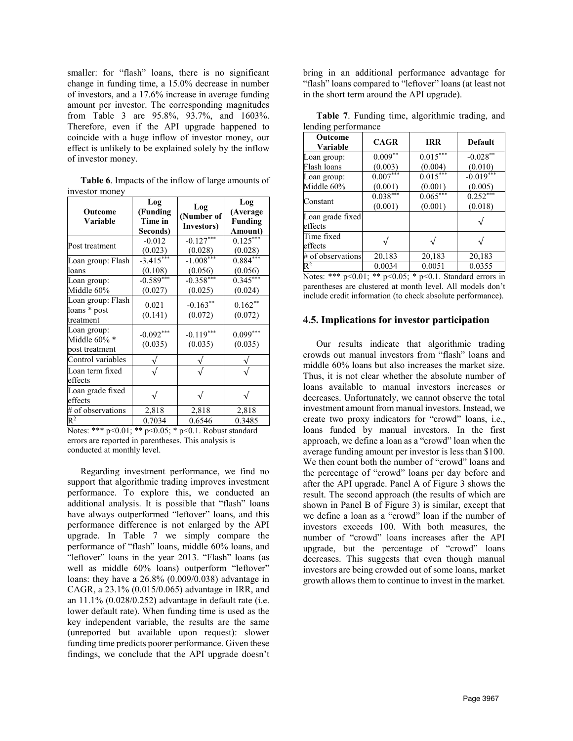smaller: for "flash" loans, there is no significant change in funding time, a 15.0% decrease in number of investors, and a 17.6% increase in average funding amount per investor. The corresponding magnitudes from Table 3 are 95.8%, 93.7%, and 1603%. Therefore, even if the API upgrade happened to coincide with a huge inflow of investor money, our effect is unlikely to be explained solely by the inflow of investor money.

**Table 6**. Impacts of the inflow of large amounts of investor money

| Outcome<br>Variable                            | Log<br>(Funding<br>Time in<br>Seconds) | Log<br>(Number of<br>Investors) | Log<br>(Average<br>Funding<br>Amount) |
|------------------------------------------------|----------------------------------------|---------------------------------|---------------------------------------|
| Post treatment                                 | $-0.012$<br>(0.023)                    | $-0.127***$<br>(0.028)          | $0.125***$<br>(0.028)                 |
| Loan group: Flash<br>loans                     | $-3.415***$<br>(0.108)                 | $-1.008***$<br>(0.056)          | $0.884***$<br>(0.056)                 |
| Loan group:<br>Middle 60%                      | $-0.589***$<br>(0.027)                 | $-0.358***$<br>(0.025)          | $0.345***$<br>(0.024)                 |
| Loan group: Flash<br>loans * post<br>treatment | 0.021<br>(0.141)                       | $-0.163**$<br>(0.072)           | $0.162**$<br>(0.072)                  |
| Loan group:<br>Middle 60% *<br>post treatment  | $-0.092***$<br>(0.035)                 | $-0.119***$<br>(0.035)          | $0.099***$<br>(0.035)                 |
| Control variables                              |                                        |                                 |                                       |
| Loan term fixed<br>effects                     |                                        |                                 |                                       |
| Loan grade fixed<br>effects                    |                                        |                                 |                                       |
| # of observations                              | 2,818                                  | 2,818                           | 2,818                                 |
| $\mathsf{R}^2$                                 | 0.7034                                 | 0.6546                          | 0.3485                                |

Notes: \*\*\* p<0.01; \*\* p<0.05; \* p<0.1. Robust standard errors are reported in parentheses. This analysis is conducted at monthly level.

Regarding investment performance, we find no support that algorithmic trading improves investment performance. To explore this, we conducted an additional analysis. It is possible that "flash" loans have always outperformed "leftover" loans, and this performance difference is not enlarged by the API upgrade. In Table 7 we simply compare the performance of "flash" loans, middle 60% loans, and "leftover" loans in the year 2013. "Flash" loans (as well as middle 60% loans) outperform "leftover" loans: they have a 26.8% (0.009/0.038) advantage in CAGR, a 23.1% (0.015/0.065) advantage in IRR, and an 11.1% (0.028/0.252) advantage in default rate (i.e. lower default rate). When funding time is used as the key independent variable, the results are the same (unreported but available upon request): slower funding time predicts poorer performance. Given these findings, we conclude that the API upgrade doesn't

bring in an additional performance advantage for "flash" loans compared to "leftover" loans (at least not in the short term around the API upgrade).

|                     |  | Table 7. Funding time, algorithmic trading, and |  |
|---------------------|--|-------------------------------------------------|--|
| lending performance |  |                                                 |  |

| Outcome<br>Variable         | <b>CAGR</b>           | <b>IRR</b>            | Default                 |
|-----------------------------|-----------------------|-----------------------|-------------------------|
| Loan group:<br>Flash loans  | $0.009***$<br>(0.003) | $0.015***$<br>(0.004) | $-0.028***$<br>(0.010)  |
| Loan group:<br>Middle 60%   | $0.007***$<br>(0.001) | $0.015***$<br>(0.001) | $-0.019$ ***<br>(0.005) |
| Constant                    | $0.038***$<br>(0.001) | $0.065***$<br>(0.001) | $0.252***$<br>(0.018)   |
| Loan grade fixed<br>effects |                       |                       |                         |
| Time fixed<br>effects       |                       |                       |                         |
| # of observations           | 20,183                | 20,183                | 20,183                  |
| $\mathsf{R}^2$              | 0.0034                | 0.0051                | 0.0355                  |

Notes: \*\*\* p<0.01; \*\* p<0.05; \* p<0.1. Standard errors in parentheses are clustered at month level. All models don't include credit information (to check absolute performance).

### **4.5. Implications for investor participation**

Our results indicate that algorithmic trading crowds out manual investors from "flash" loans and middle 60% loans but also increases the market size. Thus, it is not clear whether the absolute number of loans available to manual investors increases or decreases. Unfortunately, we cannot observe the total investment amount from manual investors. Instead, we create two proxy indicators for "crowd" loans, i.e., loans funded by manual investors. In the first approach, we define a loan as a "crowd" loan when the average funding amount per investor is less than \$100. We then count both the number of "crowd" loans and the percentage of "crowd" loans per day before and after the API upgrade. Panel A of Figure 3 shows the result. The second approach (the results of which are shown in Panel B of Figure 3) is similar, except that we define a loan as a "crowd" loan if the number of investors exceeds 100. With both measures, the number of "crowd" loans increases after the API upgrade, but the percentage of "crowd" loans decreases. This suggests that even though manual investors are being crowded out of some loans, market growth allows them to continue to invest in the market.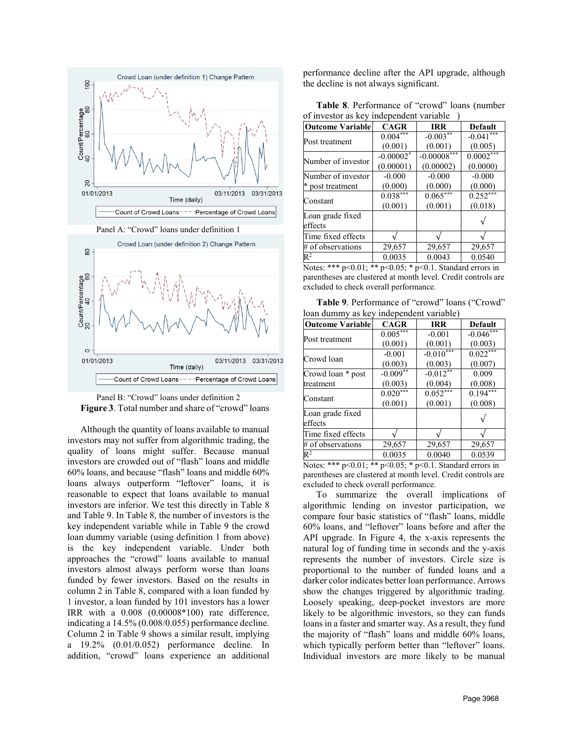



Although the quantity of loans available to manual investors may not suffer from algorithmic trading, the quality of loans might suffer. Because manual investors are crowded out of "flash" loans and middle 60% loans, and because "flash" loans and middle 60% loans always outperform "leftover" loans, it is reasonable to expect that loans available to manual investors are inferior. We test this directly in Table 8 and Table 9. In Table 8, the number of investors is the key independent variable while in Table 9 the crowd loan dummy variable (using definition 1 from above) is the key independent variable. Under both approaches the "crowd" loans available to manual investors almost always perform worse than loans funded by fewer investors. Based on the results in column 2 in Table 8, compared with a loan funded by 1 investor, a loan funded by 101 investors has a lower IRR with a 0.008 (0.00008\*100) rate difference, indicating a 14.5% (0.008/0.055) performance decline. Column 2 in Table 9 shows a similar result, implying a 19.2% (0.01/0.052) performance decline. In addition, "crowd" loans experience an additional performance decline after the API upgrade, although the decline is not always significant.

**Table 8**. Performance of "crowd" loans (number of investor as key independent variable )

| <b>Outcome Variable</b> | <b>CAGR</b> | <b>IRR</b>    | <b>Default</b> |
|-------------------------|-------------|---------------|----------------|
|                         | $0.004***$  | $-0.003**$    | $-0.041$ ***   |
| Post treatment          | (0.001)     | (0.001)       | (0.005)        |
| Number of investor      | $-0.00002*$ | $-0.00008***$ | $0.0002***$    |
|                         | (0.00001)   | (0.00002)     | (0.0000)       |
| Number of investor      | $-0.000$    | $-0.000$      | $-0.000$       |
| * post treatment        | (0.000)     | (0.000)       | (0.000)        |
| Constant                | $0.038***$  | $0.065***$    | $0.252***$     |
|                         | (0.001)     | (0.001)       | (0.018)        |
| Loan grade fixed        |             |               |                |
| effects                 |             |               |                |
| Time fixed effects      |             |               |                |
| # of observations       | 29,657      | 29,657        | 29,657         |
| $\mathsf{R}^2$          | 0.0035      | 0.0043        | 0.0540         |

Notes: \*\*\* p<0.01; \*\* p<0.05; \* p<0.1. Standard errors in parentheses are clustered at month level. Credit controls are excluded to check overall performance.

**Table 9**. Performance of "crowd" loans ("Crowd" loan dummy as key independent variable)

| <b>Outcome Variable</b> | <b>CAGR</b> | <b>IRR</b>  | Default     |
|-------------------------|-------------|-------------|-------------|
| Post treatment          | $0.005***$  | $-0.001$    | $-0.046***$ |
|                         | (0.001)     | (0.001)     | (0.003)     |
| Crowd loan              | $-0.001$    | $-0.010***$ | $0.022***$  |
|                         | (0.003)     | (0.003)     | (0.007)     |
| Crowd loan * post       | $-0.009**$  | $-0.012**$  | 0.009       |
| treatment               | (0.003)     | (0.004)     | (0.008)     |
| Constant                | $0.020***$  | $0.052***$  | $0.194***$  |
|                         | (0.001)     | (0.001)     | (0.008)     |
| Loan grade fixed        |             |             |             |
| effects                 |             |             |             |
| Time fixed effects      |             |             |             |
| # of observations       | 29,657      | 29,657      | 29,657      |
| $\mathsf{R}^2$          | 0.0035      | 0.0040      | 0.0539      |

Notes: \*\*\* p<0.01; \*\* p<0.05; \* p<0.1. Standard errors in parentheses are clustered at month level. Credit controls are excluded to check overall performance.

To summarize the overall implications of algorithmic lending on investor participation, we compare four basic statistics of "flash" loans, middle 60% loans, and "leftover" loans before and after the API upgrade. In Figure 4, the x-axis represents the natural log of funding time in seconds and the y-axis represents the number of investors. Circle size is proportional to the number of funded loans and a darker color indicates better loan performance. Arrows show the changes triggered by algorithmic trading. Loosely speaking, deep-pocket investors are more likely to be algorithmic investors, so they can funds loans in a faster and smarter way. As a result, they fund the majority of "flash" loans and middle 60% loans, which typically perform better than "leftover" loans. Individual investors are more likely to be manual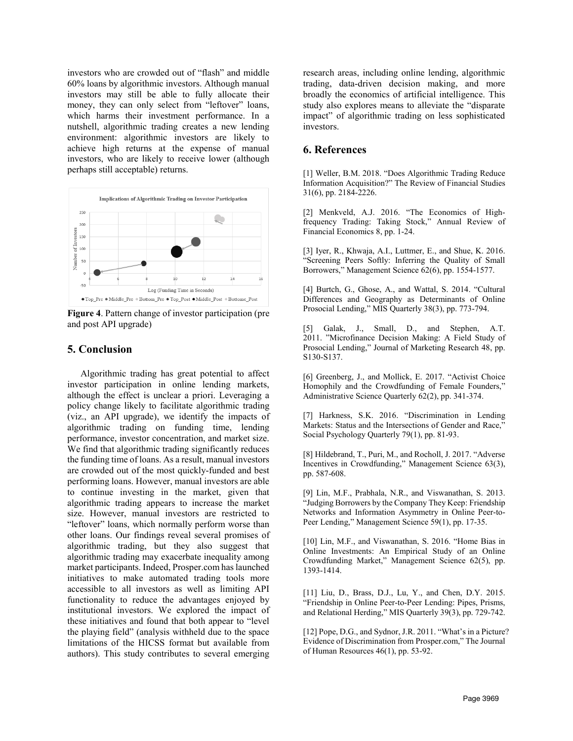investors who are crowded out of "flash" and middle 60% loans by algorithmic investors. Although manual investors may still be able to fully allocate their money, they can only select from "leftover" loans, which harms their investment performance. In a nutshell, algorithmic trading creates a new lending environment: algorithmic investors are likely to achieve high returns at the expense of manual investors, who are likely to receive lower (although perhaps still acceptable) returns.



**Figure 4**. Pattern change of investor participation (pre and post API upgrade)

## **5. Conclusion**

Algorithmic trading has great potential to affect investor participation in online lending markets, although the effect is unclear a priori. Leveraging a policy change likely to facilitate algorithmic trading (viz., an API upgrade), we identify the impacts of algorithmic trading on funding time, lending performance, investor concentration, and market size. We find that algorithmic trading significantly reduces the funding time of loans. As a result, manual investors are crowded out of the most quickly-funded and best performing loans. However, manual investors are able to continue investing in the market, given that algorithmic trading appears to increase the market size. However, manual investors are restricted to "leftover" loans, which normally perform worse than other loans. Our findings reveal several promises of algorithmic trading, but they also suggest that algorithmic trading may exacerbate inequality among market participants. Indeed, Prosper.com has launched initiatives to make automated trading tools more accessible to all investors as well as limiting API functionality to reduce the advantages enjoyed by institutional investors. We explored the impact of these initiatives and found that both appear to "level the playing field" (analysis withheld due to the space limitations of the HICSS format but available from authors). This study contributes to several emerging research areas, including online lending, algorithmic trading, data-driven decision making, and more broadly the economics of artificial intelligence. This study also explores means to alleviate the "disparate impact" of algorithmic trading on less sophisticated investors.

## **6. References**

[1] Weller, B.M. 2018. "Does Algorithmic Trading Reduce Information Acquisition?" The Review of Financial Studies 31(6), pp. 2184-2226.

[2] Menkveld, A.J. 2016. "The Economics of Highfrequency Trading: Taking Stock," Annual Review of Financial Economics 8, pp. 1-24.

[3] Iyer, R., Khwaja, A.I., Luttmer, E., and Shue, K. 2016. "Screening Peers Softly: Inferring the Quality of Small Borrowers," Management Science 62(6), pp. 1554-1577.

[4] Burtch, G., Ghose, A., and Wattal, S. 2014. "Cultural Differences and Geography as Determinants of Online Prosocial Lending," MIS Quarterly 38(3), pp. 773-794.

[5] Galak, J., Small, D., and Stephen, A.T. 2011. "Microfinance Decision Making: A Field Study of Prosocial Lending," Journal of Marketing Research 48, pp. S130-S137.

[6] Greenberg, J., and Mollick, E. 2017. "Activist Choice Homophily and the Crowdfunding of Female Founders," Administrative Science Quarterly 62(2), pp. 341-374.

[7] Harkness, S.K. 2016. "Discrimination in Lending Markets: Status and the Intersections of Gender and Race," Social Psychology Quarterly 79(1), pp. 81-93.

[8] Hildebrand, T., Puri, M., and Rocholl, J. 2017. "Adverse Incentives in Crowdfunding," Management Science 63(3), pp. 587-608.

[9] Lin, M.F., Prabhala, N.R., and Viswanathan, S. 2013. "Judging Borrowers by the Company They Keep: Friendship Networks and Information Asymmetry in Online Peer-to-Peer Lending," Management Science 59(1), pp. 17-35.

[10] Lin, M.F., and Viswanathan, S. 2016. "Home Bias in Online Investments: An Empirical Study of an Online Crowdfunding Market," Management Science 62(5), pp. 1393-1414.

[11] Liu, D., Brass, D.J., Lu, Y., and Chen, D.Y. 2015. "Friendship in Online Peer-to-Peer Lending: Pipes, Prisms, and Relational Herding," MIS Quarterly 39(3), pp. 729-742.

[12] Pope, D.G., and Sydnor, J.R. 2011. "What's in a Picture? Evidence of Discrimination from Prosper.com," The Journal of Human Resources 46(1), pp. 53-92.